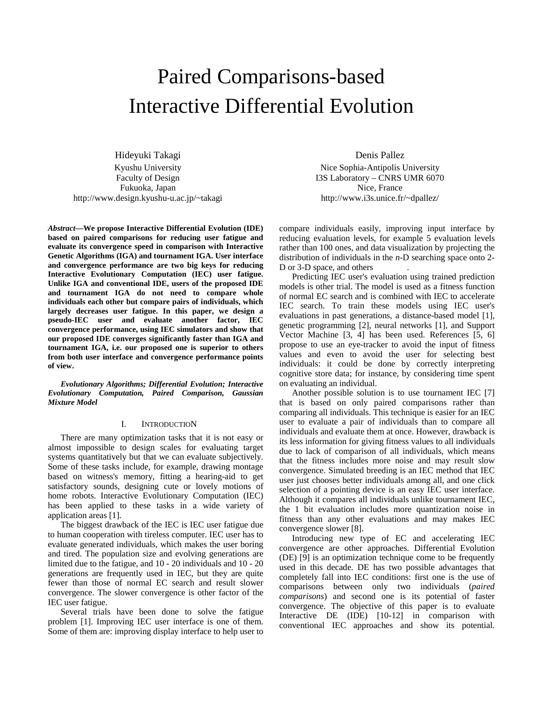# Paired Comparisons-based Interactive Differential Evolution

Hideyuki Takagi Kyushu University Faculty of Design Fukuoka, Japan http://www.design.kyushu-u.ac.jp/~takagi

*Abstract***—We propose Interactive Differential Evolution (IDE) based on paired comparisons for reducing user fatigue and evaluate its convergence speed in comparison with Interactive Genetic Algorithms (IGA) and tournament IGA. User interface and convergence performance are two big keys for reducing Interactive Evolutionary Computation (IEC) user fatigue. Unlike IGA and conventional IDE, users of the proposed IDE and tournament IGA do not need to compare whole individuals each other but compare pairs of individuals, which largely decreases user fatigue. In this paper, we design a pseudo-IEC user and evaluate another factor, IEC convergence performance, using IEC simulators and show that our proposed IDE converges significantly faster than IGA and tournament IGA, i.e. our proposed one is superior to others from both user interface and convergence performance points of view.** 

*Evolutionary Algorithms; Differential Evolution; Interactive Evolutionary Computation, Paired Comparison, Gaussian Mixture Model* 

## I. INTRODUCTION

There are many optimization tasks that it is not easy or almost impossible to design scales for evaluating target systems quantitatively but that we can evaluate subjectively. Some of these tasks include, for example, drawing montage based on witness's memory, fitting a hearing-aid to get satisfactory sounds, designing cute or lovely motions of home robots. Interactive Evolutionary Computation (IEC) has been applied to these tasks in a wide variety of application areas [1].

The biggest drawback of the IEC is IEC user fatigue due to human cooperation with tireless computer. IEC user has to evaluate generated individuals, which makes the user boring and tired. The population size and evolving generations are limited due to the fatigue, and 10 - 20 individuals and 10 - 20 generations are frequently used in IEC, but they are quite fewer than those of normal EC search and result slower convergence. The slower convergence is other factor of the IEC user fatigue.

Several trials have been done to solve the fatigue problem [1]. Improving IEC user interface is one of them. Some of them are: improving display interface to help user to

Denis Pallez Nice Sophia-Antipolis University I3S Laboratory – CNRS UMR 6070 Nice, France http://www.i3s.unice.fr/~dpallez/

compare individuals easily, improving input interface by reducing evaluation levels, for example 5 evaluation levels rather than 100 ones, and data visualization by projecting the distribution of individuals in the *n*-D searching space onto 2- D or 3-D space, and others

Predicting IEC user's evaluation using trained prediction models is other trial. The model is used as a fitness function of normal EC search and is combined with IEC to accelerate IEC search. To train these models using IEC user's evaluations in past generations, a distance-based model [1], genetic programming [2], neural networks [1], and Support Vector Machine [3, 4] has been used. References [5, 6] propose to use an eye-tracker to avoid the input of fitness values and even to avoid the user for selecting best individuals: it could be done by correctly interpreting cognitive store data; for instance, by considering time spent on evaluating an individual.

Another possible solution is to use tournament IEC [7] that is based on only paired comparisons rather than comparing all individuals. This technique is easier for an IEC user to evaluate a pair of individuals than to compare all individuals and evaluate them at once. However, drawback is its less information for giving fitness values to all individuals due to lack of comparison of all individuals, which means that the fitness includes more noise and may result slow convergence. Simulated breeding is an IEC method that IEC user just chooses better individuals among all, and one click selection of a pointing device is an easy IEC user interface. Although it compares all individuals unlike tournament IEC, the 1 bit evaluation includes more quantization noise in fitness than any other evaluations and may makes IEC convergence slower [8].

Introducing new type of EC and accelerating IEC convergence are other approaches. Differential Evolution (DE) [9] is an optimization technique come to be frequently used in this decade. DE has two possible advantages that completely fall into IEC conditions: first one is the use of comparisons between only two individuals (*paired comparisons*) and second one is its potential of faster convergence. The objective of this paper is to evaluate Interactive DE (IDE) [10-12] in comparison with conventional IEC approaches and show its potential.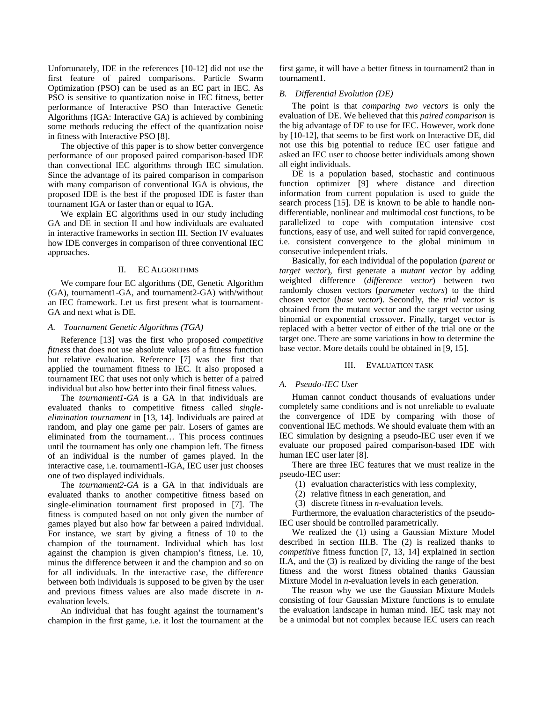Unfortunately, IDE in the references [10-12] did not use the first feature of paired comparisons. Particle Swarm Optimization (PSO) can be used as an EC part in IEC. As PSO is sensitive to quantization noise in IEC fitness, better performance of Interactive PSO than Interactive Genetic Algorithms (IGA: Interactive GA) is achieved by combining some methods reducing the effect of the quantization noise in fitness with Interactive PSO [8].

The objective of this paper is to show better convergence performance of our proposed paired comparison-based IDE than convectional IEC algorithms through IEC simulation. Since the advantage of its paired comparison in comparison with many comparison of conventional IGA is obvious, the proposed IDE is the best if the proposed IDE is faster than tournament IGA or faster than or equal to IGA.

We explain EC algorithms used in our study including GA and DE in section II and how individuals are evaluated in interactive frameworks in section III. Section IV evaluates how IDE converges in comparison of three conventional IEC approaches.

#### II. EC ALGORITHMS

We compare four EC algorithms (DE, Genetic Algorithm (GA), tournament1-GA, and tournament2-GA) with/without an IEC framework. Let us first present what is tournament-GA and next what is DE.

## *A. Tournament Genetic Algorithms (TGA)*

Reference [13] was the first who proposed *competitive fitness* that does not use absolute values of a fitness function but relative evaluation. Reference [7] was the first that applied the tournament fitness to IEC. It also proposed a tournament IEC that uses not only which is better of a paired individual but also how better into their final fitness values.

The *tournament1-GA* is a GA in that individuals are evaluated thanks to competitive fitness called *singleelimination tournament* in [13, 14]. Individuals are paired at random, and play one game per pair. Losers of games are eliminated from the tournament… This process continues until the tournament has only one champion left. The fitness of an individual is the number of games played. In the interactive case, i.e. tournament1-IGA, IEC user just chooses one of two displayed individuals.

The *tournament2-GA* is a GA in that individuals are evaluated thanks to another competitive fitness based on single-elimination tournament first proposed in [7]. The fitness is computed based on not only given the number of games played but also how far between a paired individual. For instance, we start by giving a fitness of 10 to the champion of the tournament. Individual which has lost against the champion is given champion's fitness, i.e. 10, minus the difference between it and the champion and so on for all individuals. In the interactive case, the difference between both individuals is supposed to be given by the user and previous fitness values are also made discrete in *n*evaluation levels.

An individual that has fought against the tournament's champion in the first game, i.e. it lost the tournament at the first game, it will have a better fitness in tournament2 than in tournament1.

## *B. Differential Evolution (DE)*

The point is that *comparing two vectors* is only the evaluation of DE. We believed that this *paired comparison* is the big advantage of DE to use for IEC. However, work done by [10-12], that seems to be first work on Interactive DE, did not use this big potential to reduce IEC user fatigue and asked an IEC user to choose better individuals among shown all eight individuals.

DE is a population based, stochastic and continuous function optimizer [9] where distance and direction information from current population is used to guide the search process [15]. DE is known to be able to handle nondifferentiable, nonlinear and multimodal cost functions, to be parallelized to cope with computation intensive cost functions, easy of use, and well suited for rapid convergence, i.e. consistent convergence to the global minimum in consecutive independent trials.

Basically, for each individual of the population (*parent* or *target vector*), first generate a *mutant vector* by adding weighted difference (*difference vector*) between two randomly chosen vectors (*parameter vectors*) to the third chosen vector (*base vector*). Secondly, the *trial vector* is obtained from the mutant vector and the target vector using binomial or exponential crossover. Finally, target vector is replaced with a better vector of either of the trial one or the target one. There are some variations in how to determine the base vector. More details could be obtained in [9, 15].

## III. EVALUATION TASK

#### *A. Pseudo-IEC User*

Human cannot conduct thousands of evaluations under completely same conditions and is not unreliable to evaluate the convergence of IDE by comparing with those of conventional IEC methods. We should evaluate them with an IEC simulation by designing a pseudo-IEC user even if we evaluate our proposed paired comparison-based IDE with human IEC user later [8].

There are three IEC features that we must realize in the pseudo-IEC user:

- (1) evaluation characteristics with less complexity,
- (2) relative fitness in each generation, and
- (3) discrete fitness in *n*-evaluation levels.

Furthermore, the evaluation characteristics of the pseudo-IEC user should be controlled parametrically.

We realized the (1) using a Gaussian Mixture Model described in section III.B. The (2) is realized thanks to *competitive* fitness function [7, 13, 14] explained in section II.A, and the (3) is realized by dividing the range of the best fitness and the worst fitness obtained thanks Gaussian Mixture Model in *n*-evaluation levels in each generation.

The reason why we use the Gaussian Mixture Models consisting of four Gaussian Mixture functions is to emulate the evaluation landscape in human mind. IEC task may not be a unimodal but not complex because IEC users can reach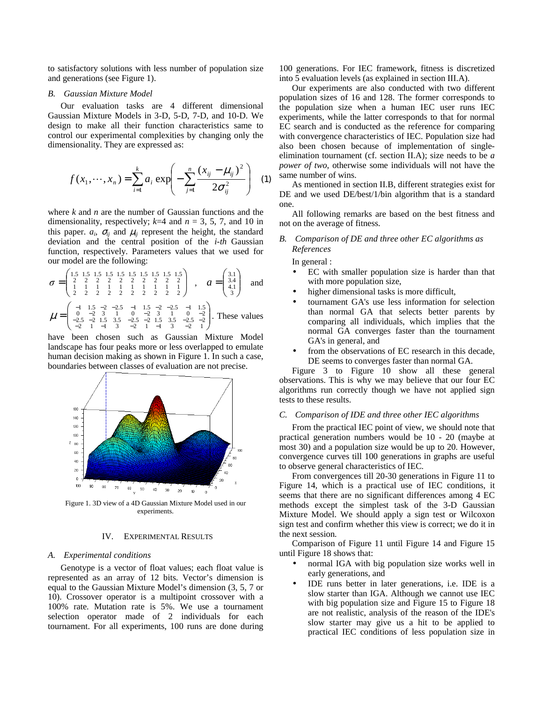to satisfactory solutions with less number of population size and generations (see Figure 1).

## *B. Gaussian Mixture Model*

Our evaluation tasks are 4 different dimensional Gaussian Mixture Models in 3-D, 5-D, 7-D, and 10-D. We design to make all their function characteristics same to control our experimental complexities by changing only the dimensionality. They are expressed as:

$$
f(x_1, \dots, x_n) = \sum_{i=1}^k a_i \exp\left(-\sum_{j=1}^n \frac{(x_{ij} - \mu_{ij})^2}{2\sigma_{ij}^2}\right) \tag{1}
$$

where *k* and *n* are the number of Gaussian functions and the dimensionality, respectively;  $k=4$  and  $n=3, 5, 7$ , and 10 in this paper.  $a_i$ ,  $\sigma_{ij}$  and  $\mu_{ij}$  represent the height, the standard deviation and the central position of the *i-th* Gaussian function, respectively. Parameters values that we used for our model are the following:

 = 2 2 2 2 2 2 2 2 2 2 1 1 1 1 1 1 1 1 1 1 2 2 2 2 2 2 2 2 2 2 1.5 1.5 1.5 1.5 1.5 1.5 1.5 1.5 1.5 1.5 <sup>σ</sup> , = 3 4.1 3.4 3.1 *a* and − − − − − − − 1 5.1 2 5.2 1 5.1 2 5.2 1 5.1

 $\overline{\phantom{a}}$  $\begin{bmatrix} 1 & 1.3 & 2 & 2 & 1 & 1 & 1.3 \\ 0 & -2 & 3 & 1 & 0 & -2 & 3 & 1 & 0 & -2 \\ -2.5 & -2 & 1.5 & 3.5 & -2.5 & -2 & 1.5 & 3.5 & -2.5 & -2 \\ -2 & 1 & -1 & 3 & -2 & 1 & -1 & 3 & -2 & 1 \end{bmatrix}$  $\begin{bmatrix} 0 & -2 & 3 & 1 & 0 & -2 & 3 & 1 & 0 & -2.5 & -2 & 1.5 & 3.5 & -2.5 & -2 & 1.5 & 3.5 & -2.5 & -2 & 1 & -1 & 3 & -2 & 1 & -1 & 3 & -2 & 1 \end{bmatrix}$ =  $\mu = \begin{bmatrix} 0 & -2 & 3 & 1 & 0 & -2 & 3 & 1 & 0 & -2 \\ -2.5 & -2 & 1.5 & 3.5 & -2.5 & -2 & 1.5 & 3.5 & -2.5 & -2 \\ -2 & 1 & -1 & 3 & -2 & 1 & -1 & 3 & -2 & 1 \end{bmatrix}$ . These values

have been chosen such as Gaussian Mixture Model landscape has four peaks more or less overlapped to emulate human decision making as shown in Figure 1. In such a case, boundaries between classes of evaluation are not precise.



Figure 1. 3D view of a 4D Gaussian Mixture Model used in our experiments.

## IV. EXPERIMENTAL RESULTS

#### *A. Experimental conditions*

Genotype is a vector of float values; each float value is represented as an array of 12 bits. Vector's dimension is equal to the Gaussian Mixture Model's dimension (3, 5, 7 or 10). Crossover operator is a multipoint crossover with a 100% rate. Mutation rate is 5%. We use a tournament selection operator made of 2 individuals for each tournament. For all experiments, 100 runs are done during

100 generations. For IEC framework, fitness is discretized into 5 evaluation levels (as explained in section III.A).

Our experiments are also conducted with two different population sizes of 16 and 128. The former corresponds to the population size when a human IEC user runs IEC experiments, while the latter corresponds to that for normal EC search and is conducted as the reference for comparing with convergence characteristics of IEC. Population size had also been chosen because of implementation of singleelimination tournament (cf. section II.A); size needs to be *a power of two*, otherwise some individuals will not have the same number of wins.

As mentioned in section II.B, different strategies exist for DE and we used DE/best/1/bin algorithm that is a standard one.

All following remarks are based on the best fitness and not on the average of fitness.

# *B. Comparison of DE and three other EC algorithms as References*

In general :

- EC with smaller population size is harder than that with more population size,
- higher dimensional tasks is more difficult,
- tournament GA's use less information for selection than normal GA that selects better parents by comparing all individuals, which implies that the normal GA converges faster than the tournament GA's in general, and
- from the observations of EC research in this decade, DE seems to converges faster than normal GA.

Figure 3 to Figure 10 show all these general observations. This is why we may believe that our four EC algorithms run correctly though we have not applied sign tests to these results.

#### *C. Comparison of IDE and three other IEC algorithms*

From the practical IEC point of view, we should note that practical generation numbers would be 10 - 20 (maybe at most 30) and a population size would be up to 20. However, convergence curves till 100 generations in graphs are useful to observe general characteristics of IEC.

From convergences till 20-30 generations in Figure 11 to Figure 14, which is a practical use of IEC conditions, it seems that there are no significant differences among 4 EC methods except the simplest task of the 3-D Gaussian Mixture Model. We should apply a sign test or Wilcoxon sign test and confirm whether this view is correct; we do it in the next session.

Comparison of Figure 11 until Figure 14 and Figure 15 until Figure 18 shows that:

- normal IGA with big population size works well in early generations, and
- IDE runs better in later generations, i.e. IDE is a slow starter than IGA. Although we cannot use IEC with big population size and Figure 15 to Figure 18 are not realistic, analysis of the reason of the IDE's slow starter may give us a hit to be applied to practical IEC conditions of less population size in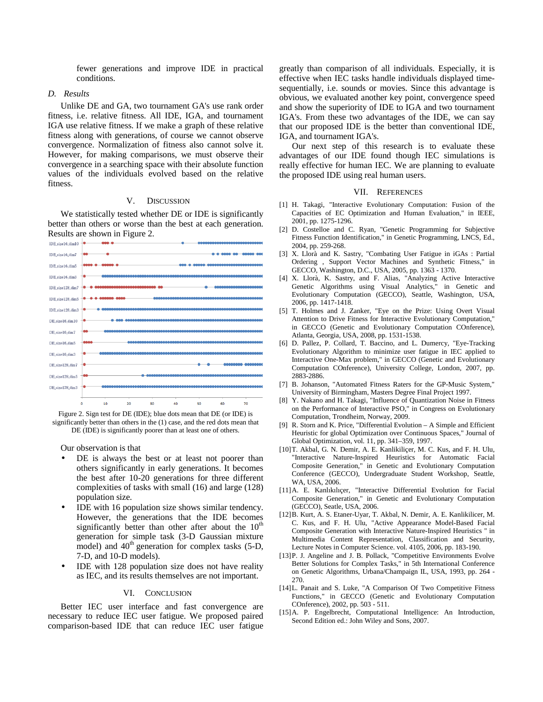fewer generations and improve IDE in practical conditions.

#### *D. Results*

Unlike DE and GA, two tournament GA's use rank order fitness, i.e. relative fitness. All IDE, IGA, and tournament IGA use relative fitness. If we make a graph of these relative fitness along with generations, of course we cannot observe convergence. Normalization of fitness also cannot solve it. However, for making comparisons, we must observe their convergence in a searching space with their absolute function values of the individuals evolved based on the relative fitness.

## V. DISCUSSION

We statistically tested whether DE or IDE is significantly better than others or worse than the best at each generation. Results are shown in Figure 2.



Figure 2. Sign test for DE (IDE); blue dots mean that DE (or IDE) is significantly better than others in the (1) case, and the red dots mean that DE (IDE) is significantly poorer than at least one of others.

Our observation is that

- DE is always the best or at least not poorer than others significantly in early generations. It becomes the best after 10-20 generations for three different complexities of tasks with small (16) and large (128) population size.
- IDE with 16 population size shows similar tendency. However, the generations that the IDE becomes significantly better than other after about the  $10<sup>th</sup>$ generation for simple task (3-D Gaussian mixture model) and  $40<sup>th</sup>$  generation for complex tasks (5-D, 7-D, and 10-D models).
- IDE with 128 population size does not have reality as IEC, and its results themselves are not important.

#### VI. CONCLUSION

Better IEC user interface and fast convergence are necessary to reduce IEC user fatigue. We proposed paired comparison-based IDE that can reduce IEC user fatigue greatly than comparison of all individuals. Especially, it is effective when IEC tasks handle individuals displayed timesequentially, i.e. sounds or movies. Since this advantage is obvious, we evaluated another key point, convergence speed and show the superiority of IDE to IGA and two tournament IGA's. From these two advantages of the IDE, we can say that our proposed IDE is the better than conventional IDE, IGA, and tournament IGA's.

Our next step of this research is to evaluate these advantages of our IDE found though IEC simulations is really effective for human IEC. We are planning to evaluate the proposed IDE using real human users.

#### VII. REFERENCES

- [1] H. Takagi, "Interactive Evolutionary Computation: Fusion of the Capacities of EC Optimization and Human Evaluation," in IEEE, 2001, pp. 1275-1296.
- [2] D. Costelloe and C. Ryan, "Genetic Programming for Subjective Fitness Function Identification," in Genetic Programming, LNCS, Ed., 2004, pp. 259-268.
- [3] X. Llorà and K. Sastry, "Combating User Fatigue in iGAs : Partial Ordering , Support Vector Machines and Synthetic Fitness," in GECCO, Washington, D.C., USA, 2005, pp. 1363 - 1370.
- [4] X. Llorà, K. Sastry, and F. Alias, "Analyzing Active Interactive Genetic Algorithms using Visual Analytics," in Genetic and Evolutionary Computation (GECCO), Seattle, Washington, USA, 2006, pp. 1417-1418.
- [5] T. Holmes and J. Zanker, "Eye on the Prize: Using Overt Visual Attention to Drive Fitness for Interactive Evolutionary Computation," in GECCO (Genetic and Evolutionary Computation COnference), Atlanta, Georgia, USA, 2008, pp. 1531-1538.
- [6] D. Pallez, P. Collard, T. Baccino, and L. Dumercy, "Eye-Tracking Evolutionary Algorithm to minimize user fatigue in IEC applied to Interactive One-Max problem," in GECCO (Genetic and Evolutionary Computation COnference), University College, London, 2007, pp. 2883-2886.
- [7] B. Johanson, "Automated Fitness Raters for the GP-Music System," University of Birmingham, Masters Degree Final Project 1997.
- [8] Y. Nakano and H. Takagi, "Influence of Quantization Noise in Fitness on the Performance of Interactive PSO," in Congress on Evolutionary Computation, Trondheim, Norway, 2009.
- [9] R. Storn and K. Price, "Differential Evolution A Simple and Efficient Heuristic for global Optimization over Continuous Spaces," Journal of Global Optimization, vol. 11, pp. 341–359, 1997.
- [10] T. Akbal, G. N. Demir, A. E. Kanlikiliçer, M. C. Kus, and F. H. Ulu, "Interactive Nature-Inspired Heuristics for Automatic Facial Composite Generation," in Genetic and Evolutionary Computation Conference (GECCO), Undergraduate Student Workshop, Seattle, WA, USA, 2006.
- [11] A. E. Kanlıkılıçer, "Interactive Differential Evolution for Facial Composite Generation," in Genetic and Evolutionary Computation (GECCO), Seatle, USA, 2006.
- [12] B. Kurt, A. S. Etaner-Uyar, T. Akbal, N. Demir, A. E. Kanlikilicer, M. C. Kus, and F. H. Ulu, "Active Appearance Model-Based Facial Composite Generation with Interactive Nature-Inspired Heuristics " in Multimedia Content Representation, Classification and Security, Lecture Notes in Computer Science. vol. 4105, 2006, pp. 183-190.
- [13] P. J. Angeline and J. B. Pollack, "Competitive Environments Evolve Better Solutions for Complex Tasks," in 5th International Conference on Genetic Algorithms, Urbana/Champaign IL, USA, 1993, pp. 264 - 270.
- [14] L. Panait and S. Luke, "A Comparison Of Two Competitive Fitness Functions," in GECCO (Genetic and Evolutionary Computation COnference), 2002, pp. 503 - 511.
- [15] A. P. Engelbrecht, Computational Intelligence: An Introduction, Second Edition ed.: John Wiley and Sons, 2007.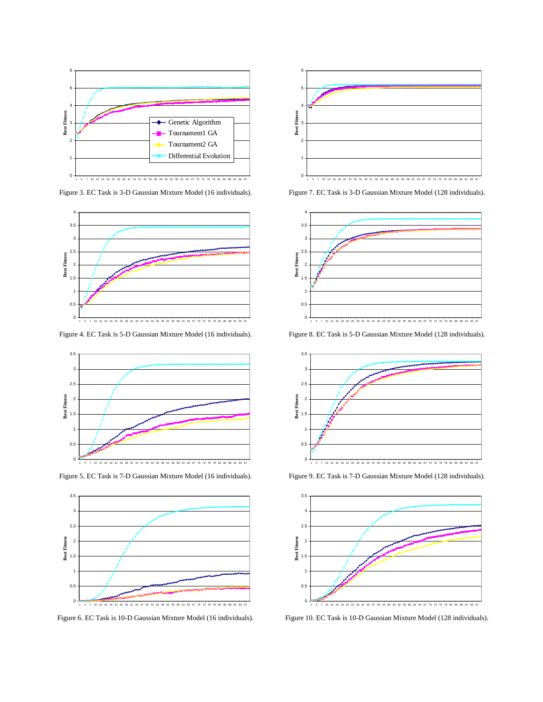

Figure 3. EC Task is 3-D Gaussian Mixture Model (16 individuals).



Figure 4. EC Task is 5-D Gaussian Mixture Model (16 individuals).



Figure 5. EC Task is 7-D Gaussian Mixture Model (16 individuals).



Figure 6. EC Task is 10-D Gaussian Mixture Model (16 individuals).



Figure 7. EC Task is 3-D Gaussian Mixture Model (128 individuals).



Figure 8. EC Task is 5-D Gaussian Mixture Model (128 individuals).



Figure 9. EC Task is 7-D Gaussian Mixture Model (128 individuals).



Figure 10. EC Task is 10-D Gaussian Mixture Model (128 individuals).